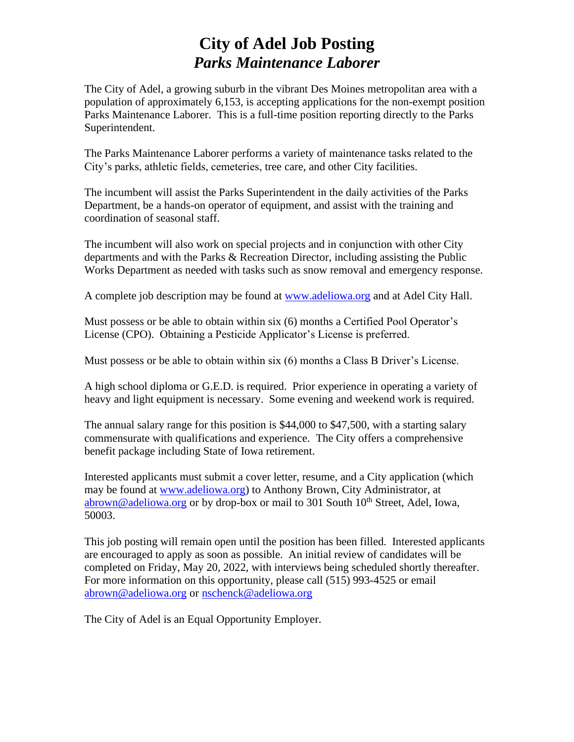# **City of Adel Job Posting** *Parks Maintenance Laborer*

The City of Adel, a growing suburb in the vibrant Des Moines metropolitan area with a population of approximately 6,153, is accepting applications for the non-exempt position Parks Maintenance Laborer. This is a full-time position reporting directly to the Parks Superintendent.

The Parks Maintenance Laborer performs a variety of maintenance tasks related to the City's parks, athletic fields, cemeteries, tree care, and other City facilities.

The incumbent will assist the Parks Superintendent in the daily activities of the Parks Department, be a hands-on operator of equipment, and assist with the training and coordination of seasonal staff.

The incumbent will also work on special projects and in conjunction with other City departments and with the Parks & Recreation Director, including assisting the Public Works Department as needed with tasks such as snow removal and emergency response.

A complete job description may be found at [www.adeliowa.org](http://www.adeliowa.org/) and at Adel City Hall.

Must possess or be able to obtain within six (6) months a Certified Pool Operator's License (CPO). Obtaining a Pesticide Applicator's License is preferred.

Must possess or be able to obtain within six (6) months a Class B Driver's License.

A high school diploma or G.E.D. is required. Prior experience in operating a variety of heavy and light equipment is necessary. Some evening and weekend work is required.

The annual salary range for this position is \$44,000 to \$47,500, with a starting salary commensurate with qualifications and experience. The City offers a comprehensive benefit package including State of Iowa retirement.

Interested applicants must submit a cover letter, resume, and a City application (which may be found at [www.adeliowa.org\)](http://www.adeliowa.org/) to Anthony Brown, City Administrator, at [abrown@adeliowa.org](mailto:abrown@adeliowa.org) or by drop-box or mail to 301 South  $10<sup>th</sup>$  Street, Adel, Iowa, 50003.

This job posting will remain open until the position has been filled. Interested applicants are encouraged to apply as soon as possible. An initial review of candidates will be completed on Friday, May 20, 2022, with interviews being scheduled shortly thereafter. For more information on this opportunity, please call (515) 993-4525 or email [abrown@adeliowa.org](mailto:abrown@adeliowa.org) or [nschenck@adeliowa.org](mailto:nschenck@adeliowa.org)

The City of Adel is an Equal Opportunity Employer.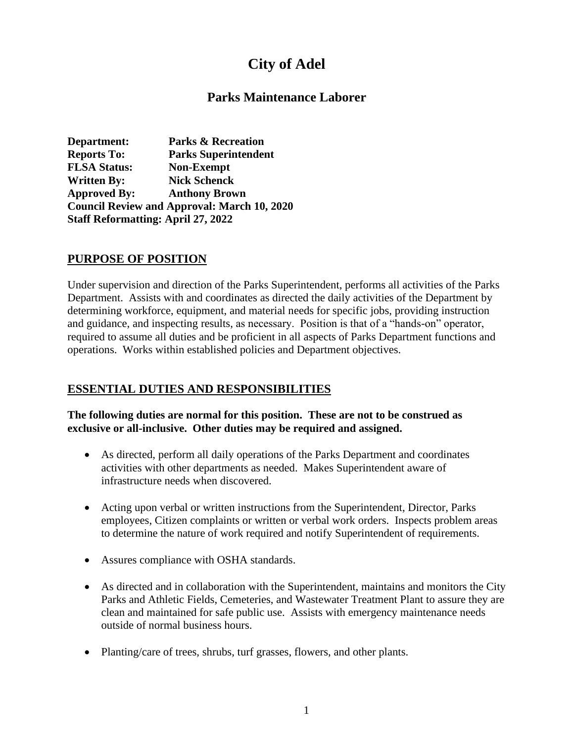# **City of Adel**

## **Parks Maintenance Laborer**

**Department: Parks & Recreation Reports To: Parks Superintendent FLSA Status: Non-Exempt Written By: Nick Schenck Approved By: Anthony Brown Council Review and Approval: March 10, 2020 Staff Reformatting: April 27, 2022** 

### **PURPOSE OF POSITION**

Under supervision and direction of the Parks Superintendent, performs all activities of the Parks Department. Assists with and coordinates as directed the daily activities of the Department by determining workforce, equipment, and material needs for specific jobs, providing instruction and guidance, and inspecting results, as necessary. Position is that of a "hands-on" operator, required to assume all duties and be proficient in all aspects of Parks Department functions and operations. Works within established policies and Department objectives.

## **ESSENTIAL DUTIES AND RESPONSIBILITIES**

#### **The following duties are normal for this position. These are not to be construed as exclusive or all-inclusive. Other duties may be required and assigned.**

- As directed, perform all daily operations of the Parks Department and coordinates activities with other departments as needed. Makes Superintendent aware of infrastructure needs when discovered.
- Acting upon verbal or written instructions from the Superintendent, Director, Parks employees, Citizen complaints or written or verbal work orders. Inspects problem areas to determine the nature of work required and notify Superintendent of requirements.
- Assures compliance with OSHA standards.
- As directed and in collaboration with the Superintendent, maintains and monitors the City Parks and Athletic Fields, Cemeteries, and Wastewater Treatment Plant to assure they are clean and maintained for safe public use. Assists with emergency maintenance needs outside of normal business hours.
- Planting/care of trees, shrubs, turf grasses, flowers, and other plants.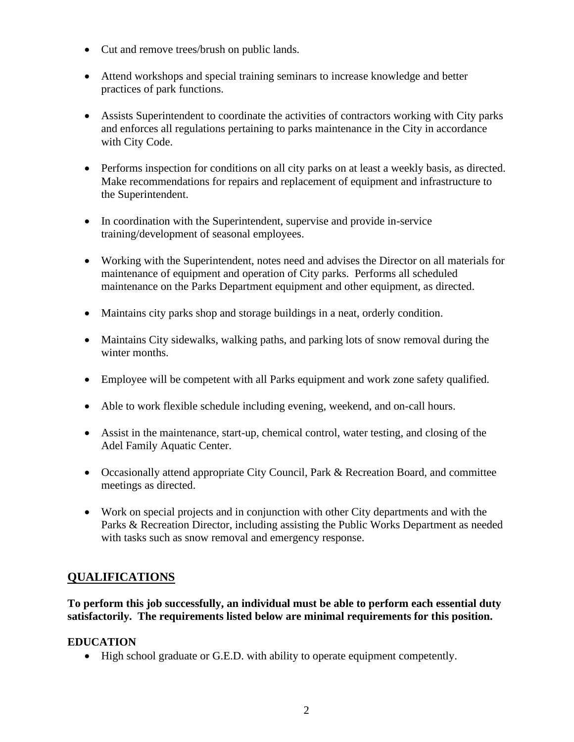- Cut and remove trees/brush on public lands.
- Attend workshops and special training seminars to increase knowledge and better practices of park functions.
- Assists Superintendent to coordinate the activities of contractors working with City parks and enforces all regulations pertaining to parks maintenance in the City in accordance with City Code.
- Performs inspection for conditions on all city parks on at least a weekly basis, as directed. Make recommendations for repairs and replacement of equipment and infrastructure to the Superintendent.
- In coordination with the Superintendent, supervise and provide in-service training/development of seasonal employees.
- Working with the Superintendent, notes need and advises the Director on all materials for maintenance of equipment and operation of City parks. Performs all scheduled maintenance on the Parks Department equipment and other equipment, as directed.
- Maintains city parks shop and storage buildings in a neat, orderly condition.
- Maintains City sidewalks, walking paths, and parking lots of snow removal during the winter months.
- Employee will be competent with all Parks equipment and work zone safety qualified.
- Able to work flexible schedule including evening, weekend, and on-call hours.
- Assist in the maintenance, start-up, chemical control, water testing, and closing of the Adel Family Aquatic Center.
- Occasionally attend appropriate City Council, Park & Recreation Board, and committee meetings as directed.
- Work on special projects and in conjunction with other City departments and with the Parks & Recreation Director, including assisting the Public Works Department as needed with tasks such as snow removal and emergency response.

# **QUALIFICATIONS**

**To perform this job successfully, an individual must be able to perform each essential duty satisfactorily. The requirements listed below are minimal requirements for this position.**

## **EDUCATION**

• High school graduate or G.E.D. with ability to operate equipment competently.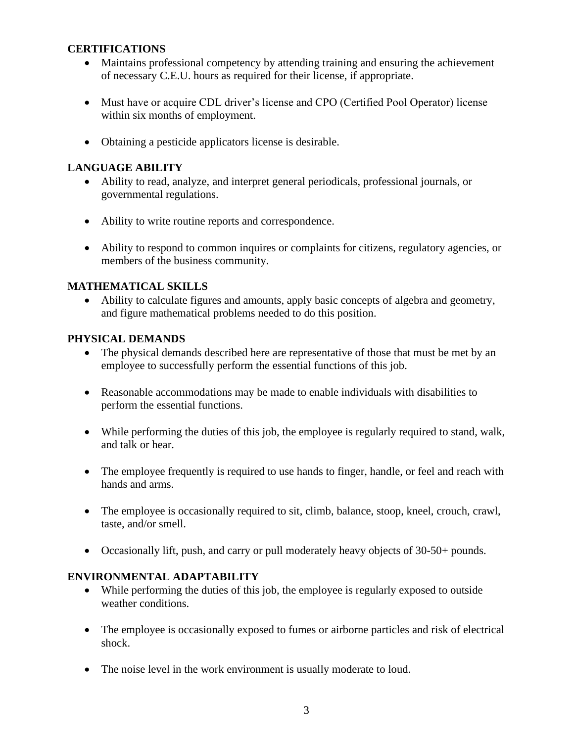#### **CERTIFICATIONS**

- Maintains professional competency by attending training and ensuring the achievement of necessary C.E.U. hours as required for their license, if appropriate.
- Must have or acquire CDL driver's license and CPO (Certified Pool Operator) license within six months of employment.
- Obtaining a pesticide applicators license is desirable.

### **LANGUAGE ABILITY**

- Ability to read, analyze, and interpret general periodicals, professional journals, or governmental regulations.
- Ability to write routine reports and correspondence.
- Ability to respond to common inquires or complaints for citizens, regulatory agencies, or members of the business community.

### **MATHEMATICAL SKILLS**

• Ability to calculate figures and amounts, apply basic concepts of algebra and geometry, and figure mathematical problems needed to do this position.

#### **PHYSICAL DEMANDS**

- The physical demands described here are representative of those that must be met by an employee to successfully perform the essential functions of this job.
- Reasonable accommodations may be made to enable individuals with disabilities to perform the essential functions.
- While performing the duties of this job, the employee is regularly required to stand, walk, and talk or hear.
- The employee frequently is required to use hands to finger, handle, or feel and reach with hands and arms.
- The employee is occasionally required to sit, climb, balance, stoop, kneel, crouch, crawl, taste, and/or smell.
- Occasionally lift, push, and carry or pull moderately heavy objects of 30-50+ pounds.

#### **ENVIRONMENTAL ADAPTABILITY**

- While performing the duties of this job, the employee is regularly exposed to outside weather conditions.
- The employee is occasionally exposed to fumes or airborne particles and risk of electrical shock.
- The noise level in the work environment is usually moderate to loud.